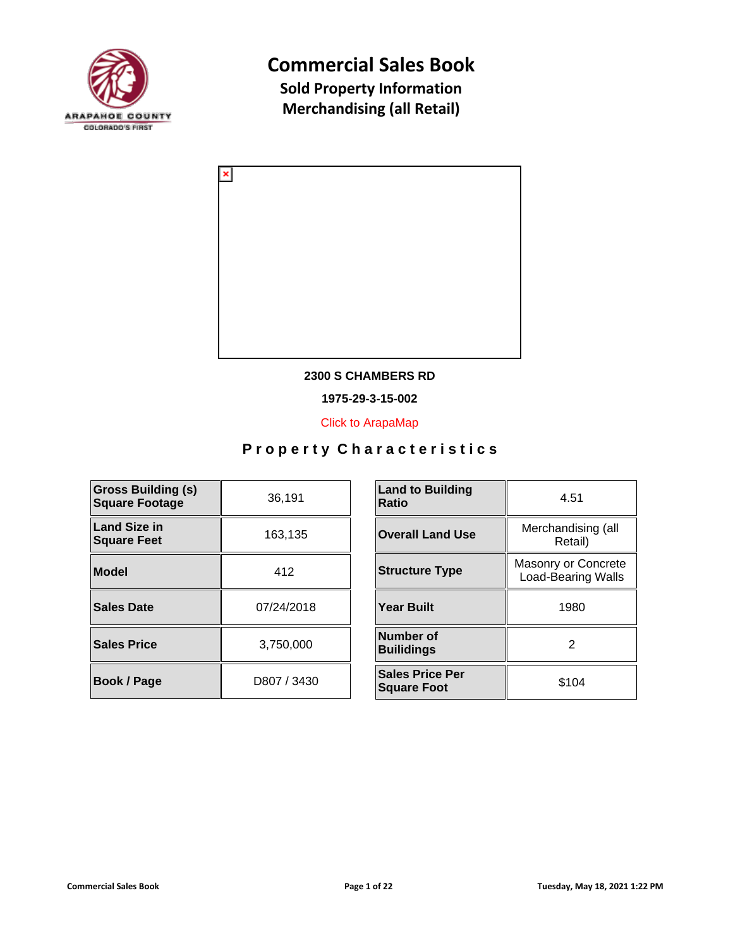



### **2300 S CHAMBERS RD**

**1975-29-3-15-002**

[Click to ArapaMap](https://gis.arapahoegov.com/arapamaplite/?PARCEL=1975-29-3-15-002)

| <b>Gross Building (s)</b><br><b>Square Footage</b> | 36,191      | <b>Land to Building</b><br><b>Ratio</b>      |
|----------------------------------------------------|-------------|----------------------------------------------|
| Land Size in<br><b>Square Feet</b>                 | 163,135     | <b>Overall Land Use</b>                      |
| Model                                              | 412         | <b>Structure Type</b>                        |
| Sales Date                                         | 07/24/2018  | <b>Year Built</b>                            |
| <b>Sales Price</b>                                 | 3,750,000   | Number of<br><b>Builidings</b>               |
| <b>Book / Page</b>                                 | D807 / 3430 | <b>Sales Price Per</b><br><b>Square Foot</b> |

| <b>Land to Building</b><br>Ratio             | 4.51                                             |  |
|----------------------------------------------|--------------------------------------------------|--|
| <b>Overall Land Use</b>                      | Merchandising (all<br>Retail)                    |  |
| <b>Structure Type</b>                        | Masonry or Concrete<br><b>Load-Bearing Walls</b> |  |
| <b>Year Built</b>                            | 1980                                             |  |
| Number of<br><b>Builidings</b>               | 2                                                |  |
| <b>Sales Price Per</b><br><b>Square Foot</b> | \$104                                            |  |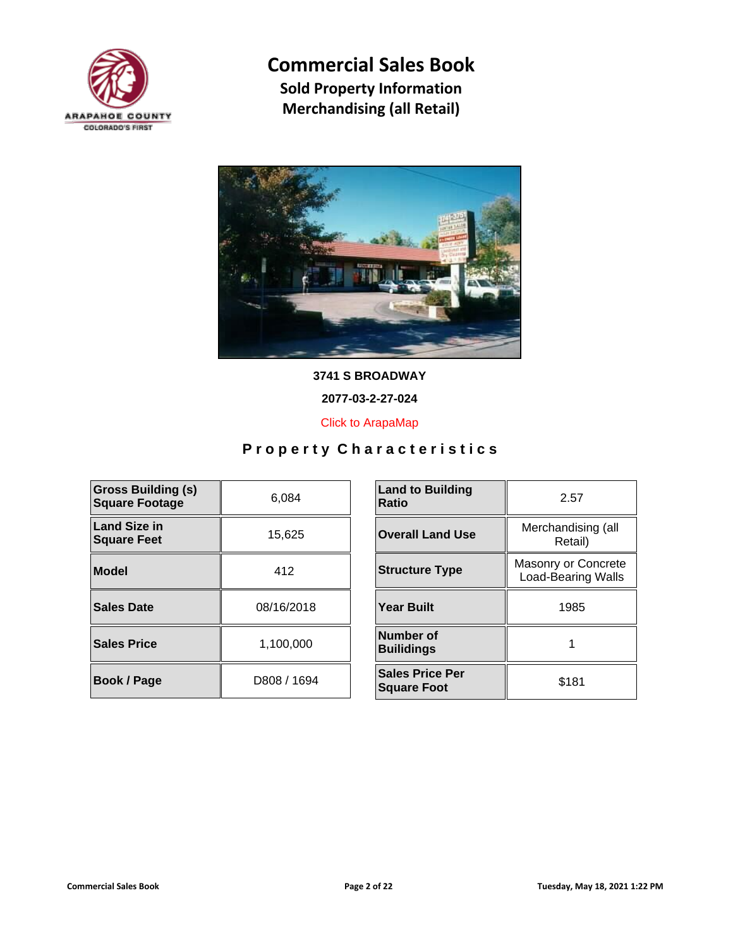



**3741 S BROADWAY**

**2077-03-2-27-024**

[Click to ArapaMap](https://gis.arapahoegov.com/arapamaplite/?PARCEL=2077-03-2-27-024)

| <b>Gross Building (s)</b><br><b>Square Footage</b> | 6.084       | <b>Land to Building</b><br><b>Ratio</b>      |
|----------------------------------------------------|-------------|----------------------------------------------|
| <b>Land Size in</b><br><b>Square Feet</b>          | 15,625      | <b>Overall Land Use</b>                      |
| Model                                              | 412         | <b>Structure Type</b>                        |
| Sales Date                                         | 08/16/2018  | <b>Year Built</b>                            |
| <b>Sales Price</b>                                 | 1,100,000   | Number of<br><b>Builidings</b>               |
| Book / Page                                        | D808 / 1694 | <b>Sales Price Per</b><br><b>Square Foot</b> |

| <b>Land to Building</b><br>Ratio             | 2.57                                             |
|----------------------------------------------|--------------------------------------------------|
| <b>Overall Land Use</b>                      | Merchandising (all<br>Retail)                    |
| <b>Structure Type</b>                        | Masonry or Concrete<br><b>Load-Bearing Walls</b> |
| <b>Year Built</b>                            | 1985                                             |
| Number of<br><b>Builidings</b>               |                                                  |
| <b>Sales Price Per</b><br><b>Square Foot</b> | \$181                                            |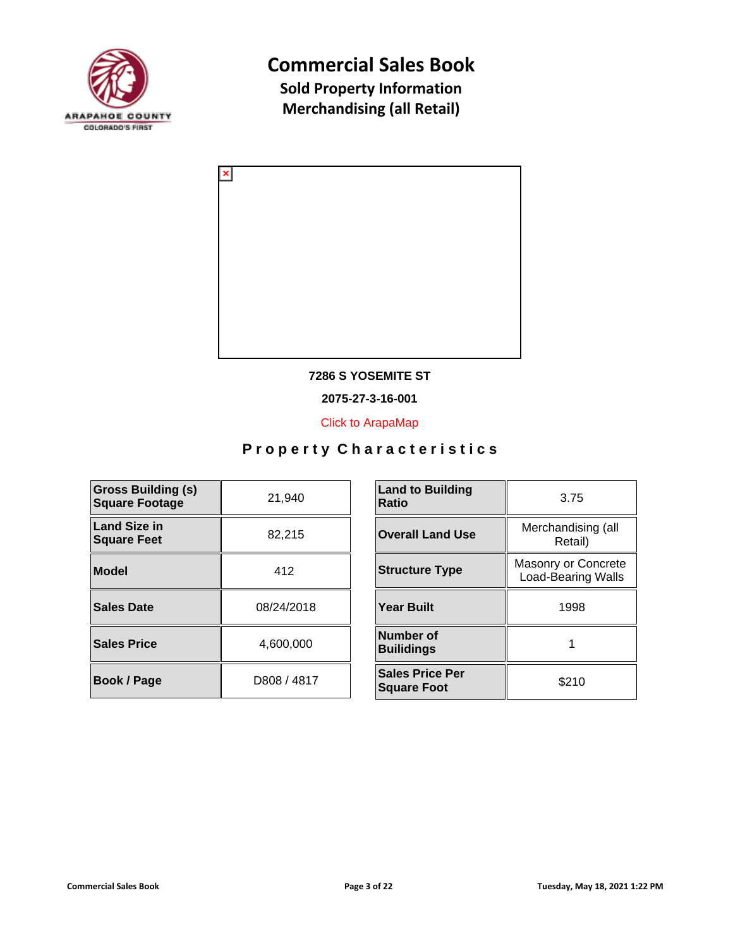



### **7286 S YOSEMITE ST**

**2075-27-3-16-001**

[Click to ArapaMap](https://gis.arapahoegov.com/arapamaplite/?PARCEL=2075-27-3-16-001)

| <b>Gross Building (s)</b><br><b>Square Footage</b> | 21,940      | <b>Land to Building</b><br><b>Ratio</b>      |
|----------------------------------------------------|-------------|----------------------------------------------|
| <b>Land Size in</b><br><b>Square Feet</b>          | 82,215      | <b>Overall Land Use</b>                      |
| <b>Model</b>                                       | 412         | <b>Structure Type</b>                        |
| <b>Sales Date</b>                                  | 08/24/2018  | <b>Year Built</b>                            |
| <b>Sales Price</b>                                 | 4,600,000   | Number of<br><b>Builidings</b>               |
| Book / Page                                        | D808 / 4817 | <b>Sales Price Per</b><br><b>Square Foot</b> |

| <b>Land to Building</b><br>Ratio             | 3.75                                             |
|----------------------------------------------|--------------------------------------------------|
| <b>Overall Land Use</b>                      | Merchandising (all<br>Retail)                    |
| <b>Structure Type</b>                        | Masonry or Concrete<br><b>Load-Bearing Walls</b> |
| <b>Year Built</b>                            | 1998                                             |
| Number of<br><b>Builidings</b>               |                                                  |
| <b>Sales Price Per</b><br><b>Square Foot</b> | \$210                                            |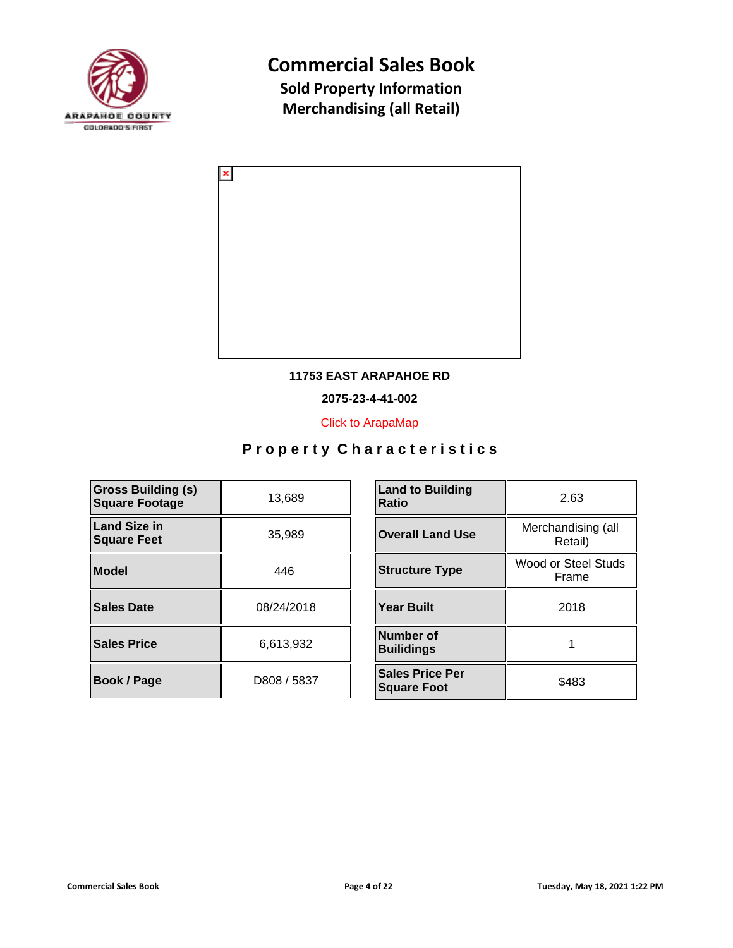



### **11753 EAST ARAPAHOE RD**

**2075-23-4-41-002**

[Click to ArapaMap](https://gis.arapahoegov.com/arapamaplite/?PARCEL=2075-23-4-41-002)

| <b>Gross Building (s)</b><br><b>Square Footage</b> | 13,689      | <b>Land to Building</b><br><b>Ratio</b>      |
|----------------------------------------------------|-------------|----------------------------------------------|
| <b>Land Size in</b><br><b>Square Feet</b>          | 35,989      | <b>Overall Land Use</b>                      |
| <b>Model</b>                                       | 446         | <b>Structure Type</b>                        |
| <b>Sales Date</b>                                  | 08/24/2018  | <b>Year Built</b>                            |
| <b>Sales Price</b>                                 | 6.613.932   | <b>Number of</b><br><b>Builidings</b>        |
| <b>Book / Page</b>                                 | D808 / 5837 | <b>Sales Price Per</b><br><b>Square Foot</b> |

| <b>Land to Building</b><br>Ratio             | 2.63                          |
|----------------------------------------------|-------------------------------|
| <b>Overall Land Use</b>                      | Merchandising (all<br>Retail) |
| <b>Structure Type</b>                        | Wood or Steel Studs<br>Frame  |
| <b>Year Built</b>                            | 2018                          |
| Number of<br><b>Builidings</b>               |                               |
| <b>Sales Price Per</b><br><b>Square Foot</b> | \$483                         |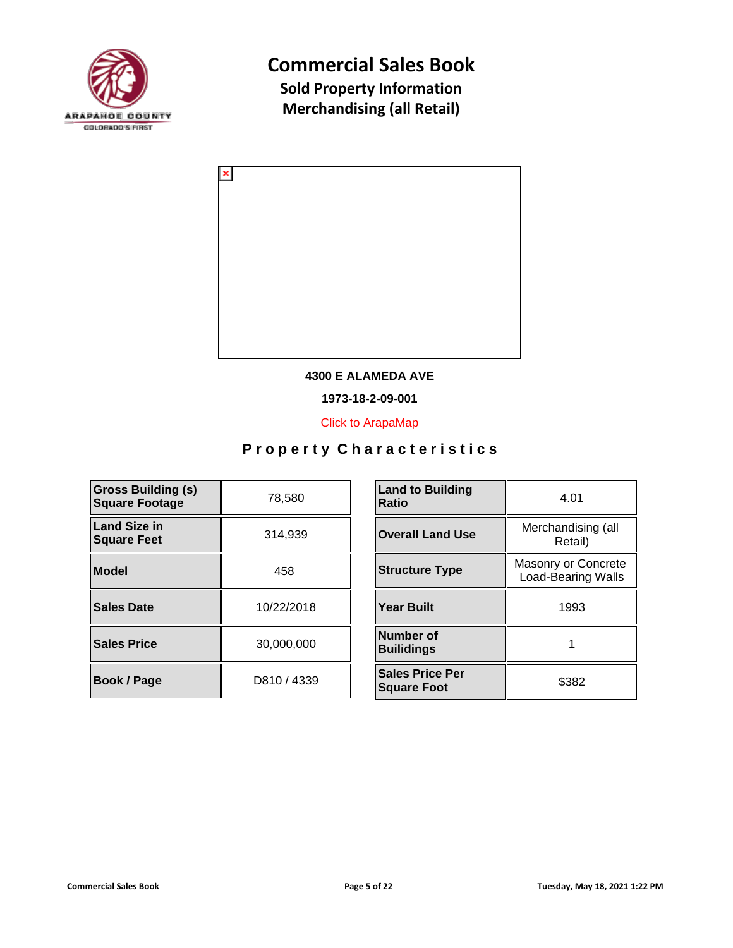



### **4300 E ALAMEDA AVE**

**1973-18-2-09-001**

[Click to ArapaMap](https://gis.arapahoegov.com/arapamaplite/?PARCEL=1973-18-2-09-001)

| <b>Gross Building (s)</b><br><b>Square Footage</b> | 78,580      | <b>Land to Building</b><br><b>Ratio</b>      |
|----------------------------------------------------|-------------|----------------------------------------------|
| <b>Land Size in</b><br><b>Square Feet</b>          | 314,939     | <b>Overall Land Use</b>                      |
| <b>Model</b>                                       | 458         | <b>Structure Type</b>                        |
| <b>Sales Date</b>                                  | 10/22/2018  | <b>Year Built</b>                            |
| <b>Sales Price</b>                                 | 30.000.000  | Number of<br><b>Builidings</b>               |
| Book / Page                                        | D810 / 4339 | <b>Sales Price Per</b><br><b>Square Foot</b> |

| <b>Land to Building</b><br>Ratio             | 4.01                                             |
|----------------------------------------------|--------------------------------------------------|
| <b>Overall Land Use</b>                      | Merchandising (all<br>Retail)                    |
| <b>Structure Type</b>                        | Masonry or Concrete<br><b>Load-Bearing Walls</b> |
| <b>Year Built</b>                            | 1993                                             |
| Number of<br><b>Builidings</b>               |                                                  |
| <b>Sales Price Per</b><br><b>Square Foot</b> | \$382                                            |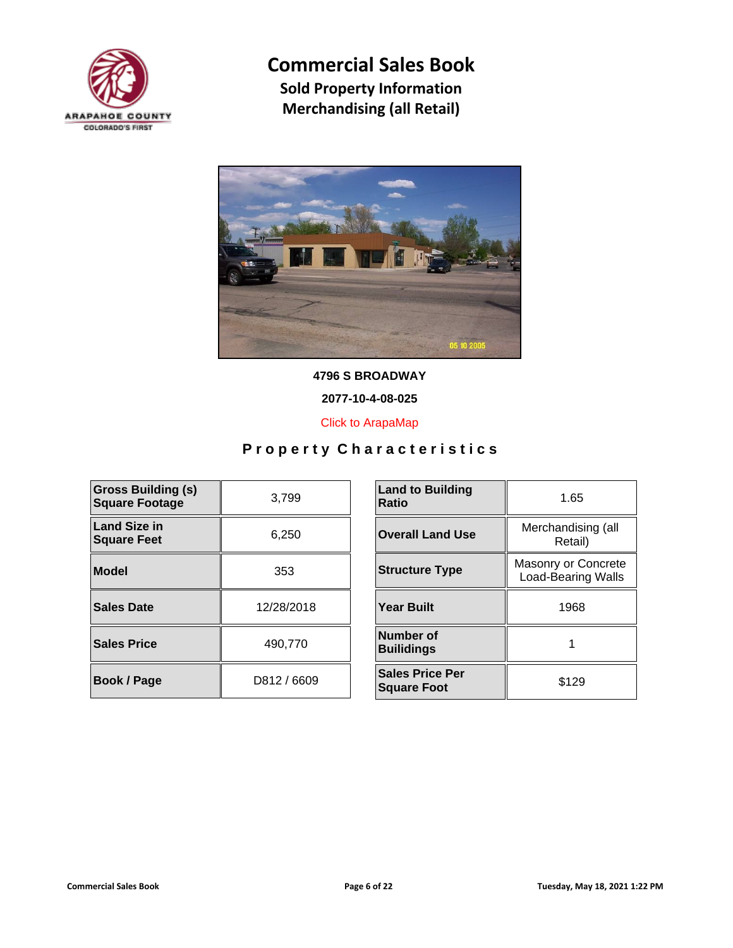



**4796 S BROADWAY**

**2077-10-4-08-025**

[Click to ArapaMap](https://gis.arapahoegov.com/arapamaplite/?PARCEL=2077-10-4-08-025)

| <b>Gross Building (s)</b><br><b>Square Footage</b> | 3,799       | <b>Land to Building</b><br><b>Ratio</b>      |
|----------------------------------------------------|-------------|----------------------------------------------|
| <b>Land Size in</b><br><b>Square Feet</b>          | 6,250       | <b>Overall Land Use</b>                      |
| <b>Model</b>                                       | 353         | <b>Structure Type</b>                        |
| <b>Sales Date</b>                                  | 12/28/2018  | <b>Year Built</b>                            |
| <b>Sales Price</b>                                 | 490,770     | Number of<br><b>Builidings</b>               |
| Book / Page                                        | D812 / 6609 | <b>Sales Price Per</b><br><b>Square Foot</b> |

| <b>Land to Building</b><br>Ratio             | 1.65                                             |
|----------------------------------------------|--------------------------------------------------|
| <b>Overall Land Use</b>                      | Merchandising (all<br>Retail)                    |
| <b>Structure Type</b>                        | Masonry or Concrete<br><b>Load-Bearing Walls</b> |
| <b>Year Built</b>                            | 1968                                             |
| Number of<br><b>Builidings</b>               |                                                  |
| <b>Sales Price Per</b><br><b>Square Foot</b> | \$129                                            |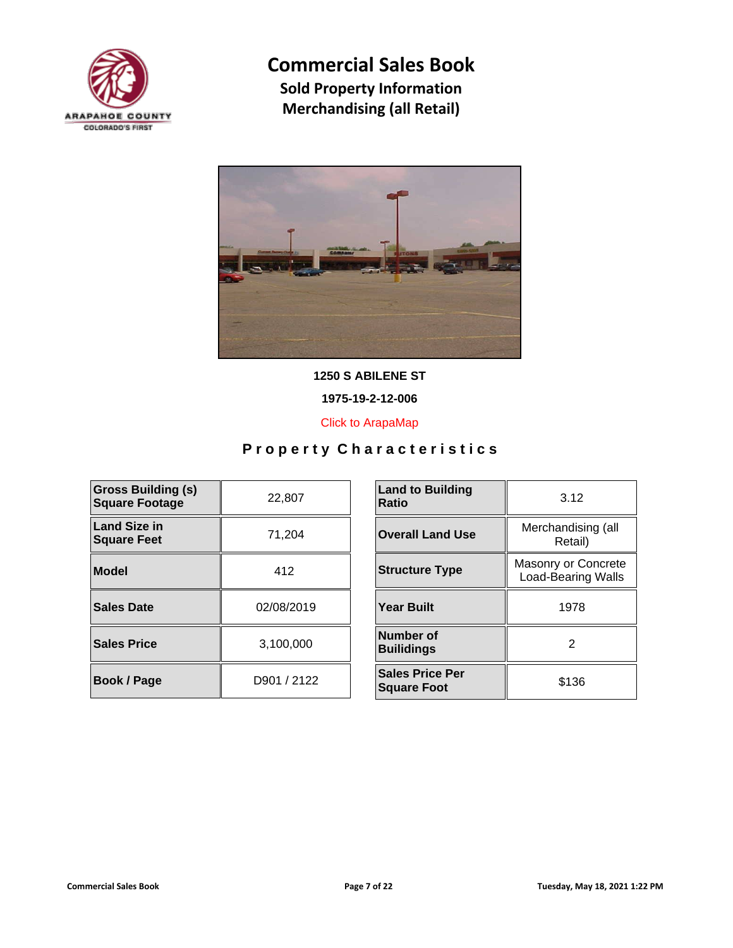



**1250 S ABILENE ST**

**1975-19-2-12-006**

[Click to ArapaMap](https://gis.arapahoegov.com/arapamaplite/?PARCEL=1975-19-2-12-006)

| <b>Gross Building (s)</b><br><b>Square Footage</b> | 22,807      | <b>Land to Building</b><br><b>Ratio</b>      |
|----------------------------------------------------|-------------|----------------------------------------------|
| Land Size in<br><b>Square Feet</b>                 | 71,204      | <b>Overall Land Use</b>                      |
| Model                                              | 412         | <b>Structure Type</b>                        |
| Sales Date                                         | 02/08/2019  | <b>Year Built</b>                            |
| <b>Sales Price</b>                                 | 3,100,000   | Number of<br><b>Builidings</b>               |
| <b>Book / Page</b>                                 | D901 / 2122 | <b>Sales Price Per</b><br><b>Square Foot</b> |

| <b>Land to Building</b><br><b>Ratio</b>      | 3.12                                             |  |
|----------------------------------------------|--------------------------------------------------|--|
| <b>Overall Land Use</b>                      | Merchandising (all<br>Retail)                    |  |
| <b>Structure Type</b>                        | Masonry or Concrete<br><b>Load-Bearing Walls</b> |  |
| <b>Year Built</b>                            | 1978                                             |  |
| Number of<br><b>Builidings</b>               | 2                                                |  |
| <b>Sales Price Per</b><br><b>Square Foot</b> | \$136                                            |  |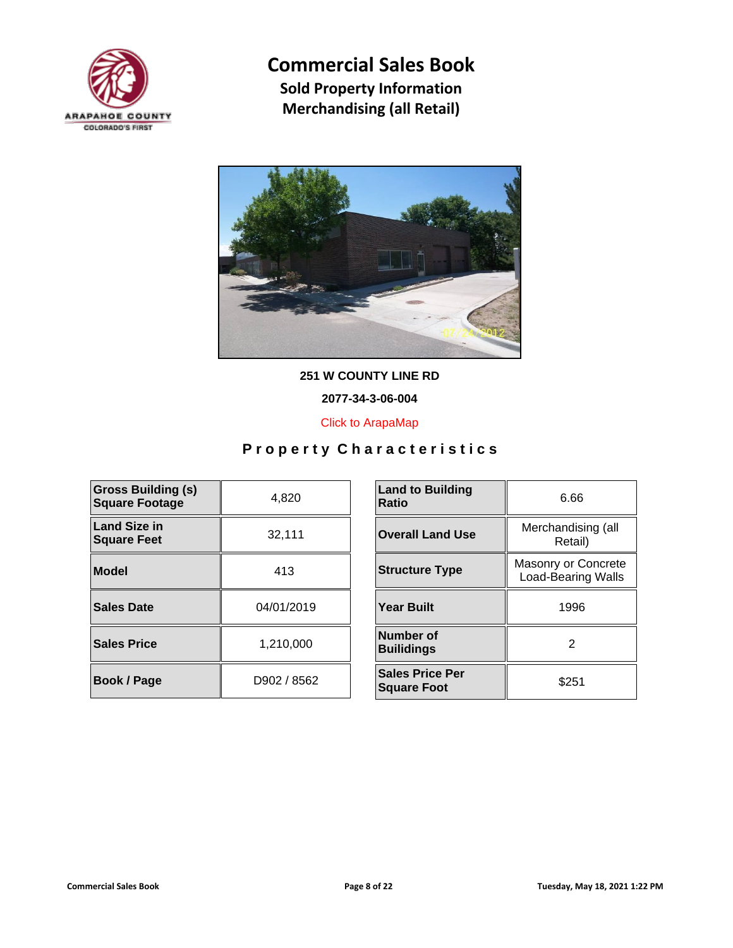



**251 W COUNTY LINE RD**

**2077-34-3-06-004**

[Click to ArapaMap](https://gis.arapahoegov.com/arapamaplite/?PARCEL=2077-34-3-06-004)

| <b>Gross Building (s)</b><br><b>Square Footage</b> | 4,820       | <b>Land to Building</b><br><b>Ratio</b>      |
|----------------------------------------------------|-------------|----------------------------------------------|
| Land Size in<br><b>Square Feet</b>                 | 32,111      | <b>Overall Land Use</b>                      |
| <b>Model</b>                                       | 413         | <b>Structure Type</b>                        |
| Sales Date                                         | 04/01/2019  | <b>Year Built</b>                            |
| <b>Sales Price</b>                                 | 1,210,000   | Number of<br><b>Builidings</b>               |
| <b>Book / Page</b>                                 | D902 / 8562 | <b>Sales Price Per</b><br><b>Square Foot</b> |

| <b>Land to Building</b><br>Ratio             | 6.66                                             |  |
|----------------------------------------------|--------------------------------------------------|--|
| <b>Overall Land Use</b>                      | Merchandising (all<br>Retail)                    |  |
| <b>Structure Type</b>                        | Masonry or Concrete<br><b>Load-Bearing Walls</b> |  |
| Year Built                                   | 1996                                             |  |
| Number of<br><b>Builidings</b>               | 2                                                |  |
| <b>Sales Price Per</b><br><b>Square Foot</b> | \$251                                            |  |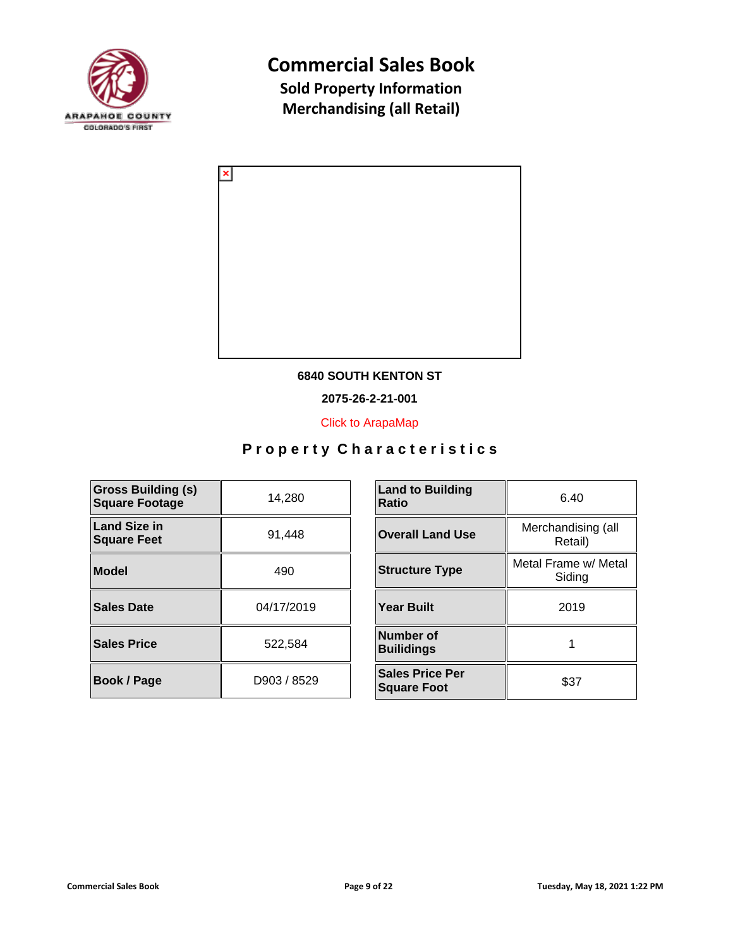



### **6840 SOUTH KENTON ST**

**2075-26-2-21-001**

[Click to ArapaMap](https://gis.arapahoegov.com/arapamaplite/?PARCEL=2075-26-2-21-001)

| <b>Gross Building (s)</b><br><b>Square Footage</b> | 14,280      | <b>Land to Building</b><br><b>Ratio</b>      |
|----------------------------------------------------|-------------|----------------------------------------------|
| <b>Land Size in</b><br><b>Square Feet</b>          | 91,448      | <b>Overall Land Use</b>                      |
| <b>Model</b>                                       | 490         | <b>Structure Type</b>                        |
| <b>Sales Date</b>                                  | 04/17/2019  | <b>Year Built</b>                            |
| <b>Sales Price</b>                                 | 522,584     | Number of<br><b>Builidings</b>               |
| Book / Page                                        | D903 / 8529 | <b>Sales Price Per</b><br><b>Square Foot</b> |

| <b>Land to Building</b><br>Ratio             | 6.40                           |
|----------------------------------------------|--------------------------------|
| <b>Overall Land Use</b>                      | Merchandising (all<br>Retail)  |
| <b>Structure Type</b>                        | Metal Frame w/ Metal<br>Siding |
| <b>Year Built</b>                            | 2019                           |
| Number of<br><b>Builidings</b>               |                                |
| <b>Sales Price Per</b><br><b>Square Foot</b> | \$37                           |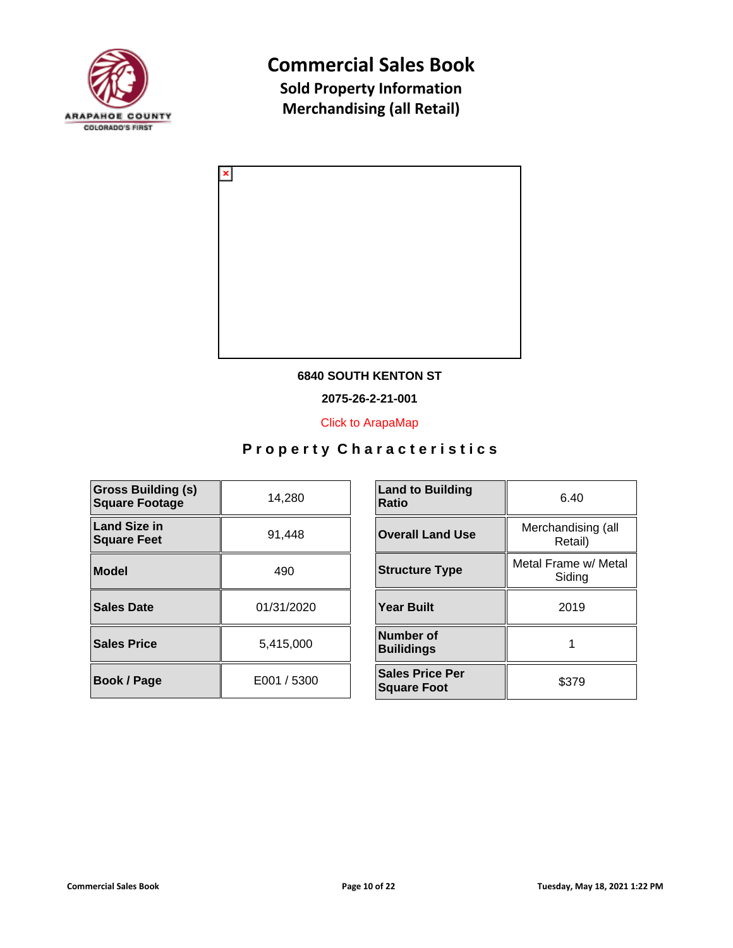



### **6840 SOUTH KENTON ST**

**2075-26-2-21-001**

[Click to ArapaMap](https://gis.arapahoegov.com/arapamaplite/?PARCEL=2075-26-2-21-001)

| <b>Gross Building (s)</b><br><b>Square Footage</b> | 14,280      | <b>Land to Building</b><br><b>Ratio</b>      |
|----------------------------------------------------|-------------|----------------------------------------------|
| <b>Land Size in</b><br><b>Square Feet</b>          | 91,448      | <b>Overall Land Use</b>                      |
| <b>Model</b>                                       | 490         | <b>Structure Type</b>                        |
| <b>Sales Date</b>                                  | 01/31/2020  | <b>Year Built</b>                            |
| <b>Sales Price</b>                                 | 5,415,000   | <b>Number of</b><br><b>Builidings</b>        |
| <b>Book / Page</b>                                 | E001 / 5300 | <b>Sales Price Per</b><br><b>Square Foot</b> |

| <b>Land to Building</b><br>Ratio             | 6.40                           |  |
|----------------------------------------------|--------------------------------|--|
| <b>Overall Land Use</b>                      | Merchandising (all<br>Retail)  |  |
| <b>Structure Type</b>                        | Metal Frame w/ Metal<br>Siding |  |
| <b>Year Built</b>                            | 2019                           |  |
| <b>Number of</b><br><b>Builidings</b>        |                                |  |
| <b>Sales Price Per</b><br><b>Square Foot</b> | \$379                          |  |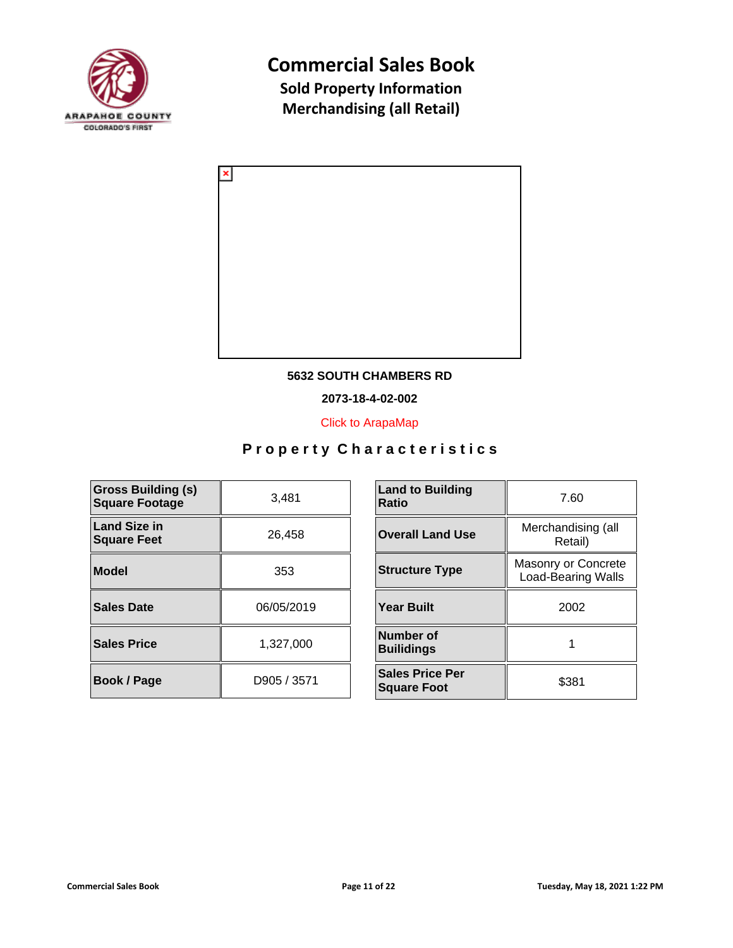



### **5632 SOUTH CHAMBERS RD**

**2073-18-4-02-002**

[Click to ArapaMap](https://gis.arapahoegov.com/arapamaplite/?PARCEL=2073-18-4-02-002)

| <b>Gross Building (s)</b><br><b>Square Footage</b> | 3.481       | <b>Land to Building</b><br><b>Ratio</b>      |
|----------------------------------------------------|-------------|----------------------------------------------|
| Land Size in<br><b>Square Feet</b>                 | 26,458      | <b>Overall Land Use</b>                      |
| Model                                              | 353         | <b>Structure Type</b>                        |
| Sales Date                                         | 06/05/2019  | <b>Year Built</b>                            |
| <b>Sales Price</b>                                 | 1.327.000   | Number of<br><b>Builidings</b>               |
| <b>Book / Page</b>                                 | D905 / 3571 | <b>Sales Price Per</b><br><b>Square Foot</b> |

| <b>Land to Building</b><br>Ratio             | 7.60                                             |  |
|----------------------------------------------|--------------------------------------------------|--|
| <b>Overall Land Use</b>                      | Merchandising (all<br>Retail)                    |  |
| <b>Structure Type</b>                        | Masonry or Concrete<br><b>Load-Bearing Walls</b> |  |
| <b>Year Built</b>                            | 2002                                             |  |
| <b>Number of</b><br><b>Builidings</b>        |                                                  |  |
| <b>Sales Price Per</b><br><b>Square Foot</b> | \$381                                            |  |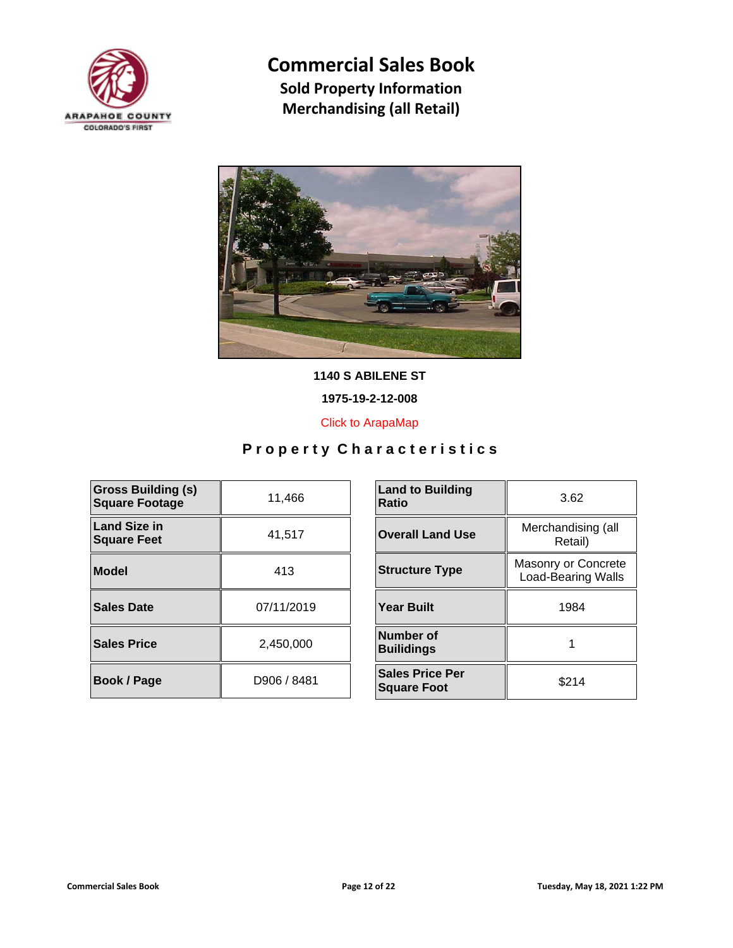



**1140 S ABILENE ST**

**1975-19-2-12-008**

[Click to ArapaMap](https://gis.arapahoegov.com/arapamaplite/?PARCEL=1975-19-2-12-008)

| <b>Gross Building (s)</b><br><b>Square Footage</b> | 11,466      | <b>Land to Building</b><br><b>Ratio</b>      |
|----------------------------------------------------|-------------|----------------------------------------------|
| <b>Land Size in</b><br><b>Square Feet</b>          | 41,517      | <b>Overall Land Use</b>                      |
| Model                                              | 413         | <b>Structure Type</b>                        |
| <b>Sales Date</b>                                  | 07/11/2019  | <b>Year Built</b>                            |
| <b>Sales Price</b>                                 | 2.450.000   | Number of<br><b>Builidings</b>               |
| <b>Book / Page</b>                                 | D906 / 8481 | <b>Sales Price Per</b><br><b>Square Foot</b> |

| <b>Land to Building</b><br>Ratio             | 3.62                                             |
|----------------------------------------------|--------------------------------------------------|
| <b>Overall Land Use</b>                      | Merchandising (all<br>Retail)                    |
| <b>Structure Type</b>                        | Masonry or Concrete<br><b>Load-Bearing Walls</b> |
| <b>Year Built</b>                            | 1984                                             |
| Number of<br><b>Builidings</b>               |                                                  |
| <b>Sales Price Per</b><br><b>Square Foot</b> | \$214                                            |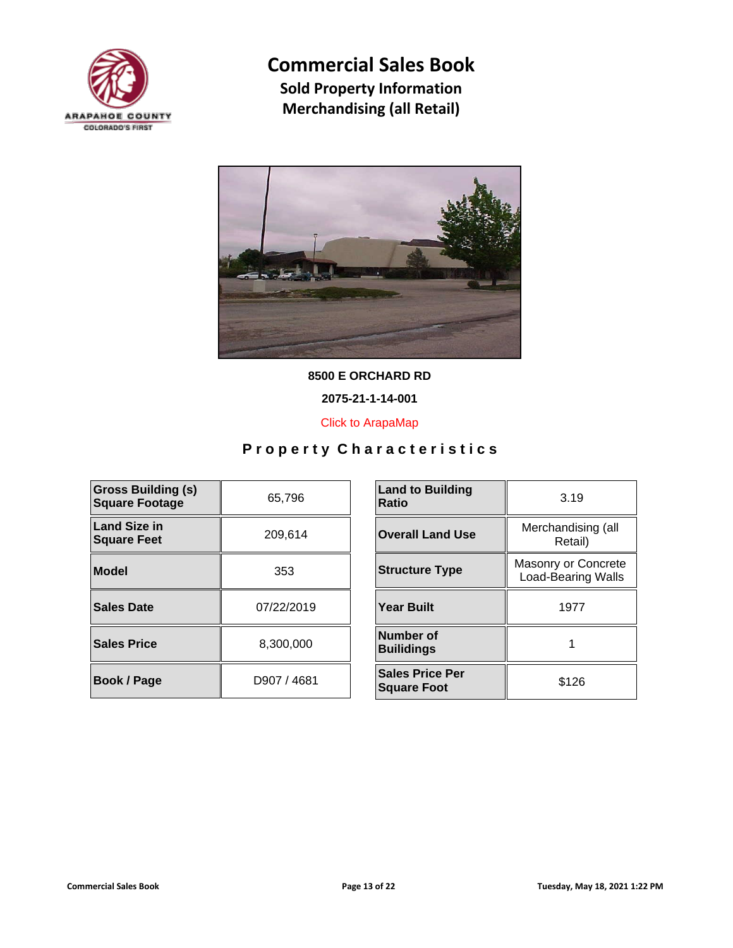



**8500 E ORCHARD RD**

**2075-21-1-14-001**

[Click to ArapaMap](https://gis.arapahoegov.com/arapamaplite/?PARCEL=2075-21-1-14-001)

| <b>Gross Building (s)</b><br><b>Square Footage</b> | 65,796      | <b>Land to Building</b><br><b>Ratio</b>      |
|----------------------------------------------------|-------------|----------------------------------------------|
| <b>Land Size in</b><br><b>Square Feet</b>          | 209,614     | <b>Overall Land Use</b>                      |
| Model                                              | 353         | <b>Structure Type</b>                        |
| Sales Date                                         | 07/22/2019  | <b>Year Built</b>                            |
| <b>Sales Price</b>                                 | 8,300,000   | Number of<br><b>Builidings</b>               |
| <b>Book / Page</b>                                 | D907 / 4681 | <b>Sales Price Per</b><br><b>Square Foot</b> |

| <b>Land to Building</b><br>Ratio             | 3.19                                             |  |
|----------------------------------------------|--------------------------------------------------|--|
| <b>Overall Land Use</b>                      | Merchandising (all<br>Retail)                    |  |
| <b>Structure Type</b>                        | Masonry or Concrete<br><b>Load-Bearing Walls</b> |  |
| Year Built                                   | 1977                                             |  |
| Number of<br><b>Builidings</b>               |                                                  |  |
| <b>Sales Price Per</b><br><b>Square Foot</b> | \$126                                            |  |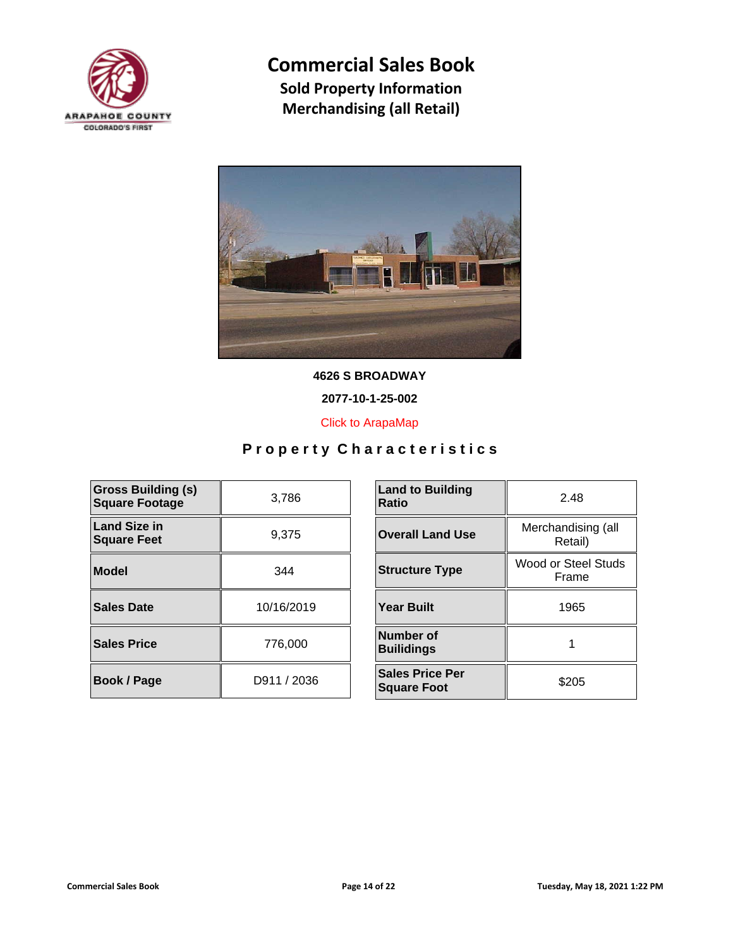



**4626 S BROADWAY**

**2077-10-1-25-002**

[Click to ArapaMap](https://gis.arapahoegov.com/arapamaplite/?PARCEL=2077-10-1-25-002)

| <b>Gross Building (s)</b><br><b>Square Footage</b> | 3,786       | <b>Land to Building</b><br><b>Ratio</b>      |
|----------------------------------------------------|-------------|----------------------------------------------|
| Land Size in<br><b>Square Feet</b>                 | 9,375       | <b>Overall Land Use</b>                      |
| <b>Model</b>                                       | 344         | <b>Structure Type</b>                        |
| Sales Date                                         | 10/16/2019  | <b>Year Built</b>                            |
| <b>Sales Price</b>                                 | 776,000     | Number of<br><b>Builidings</b>               |
| <b>Book / Page</b>                                 | D911 / 2036 | <b>Sales Price Per</b><br><b>Square Foot</b> |

| <b>Land to Building</b><br>Ratio             | 2.48                          |
|----------------------------------------------|-------------------------------|
| <b>Overall Land Use</b>                      | Merchandising (all<br>Retail) |
| <b>Structure Type</b>                        | Wood or Steel Studs<br>Frame  |
| <b>Year Built</b>                            | 1965                          |
| Number of<br><b>Builidings</b>               |                               |
| <b>Sales Price Per</b><br><b>Square Foot</b> | \$205                         |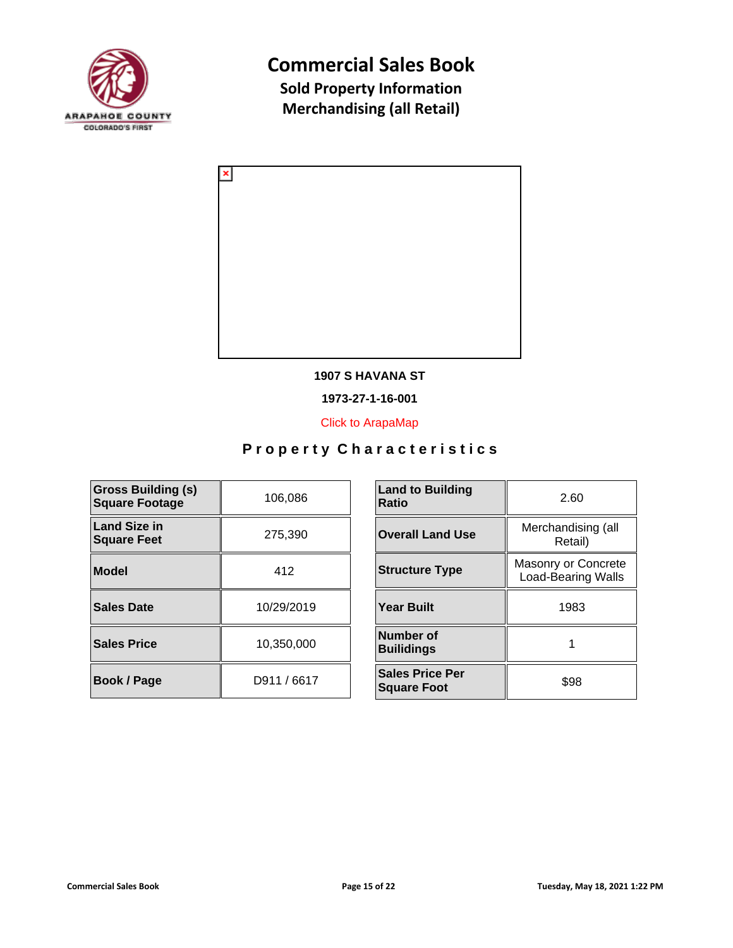



### **1907 S HAVANA ST**

**1973-27-1-16-001**

[Click to ArapaMap](https://gis.arapahoegov.com/arapamaplite/?PARCEL=1973-27-1-16-001)

| <b>Gross Building (s)</b><br><b>Square Footage</b> | 106,086     | <b>Land to Building</b><br><b>Ratio</b>      |
|----------------------------------------------------|-------------|----------------------------------------------|
| <b>Land Size in</b><br><b>Square Feet</b>          | 275,390     | <b>Overall Land Use</b>                      |
| <b>Model</b>                                       | 412         | <b>Structure Type</b>                        |
| <b>Sales Date</b>                                  | 10/29/2019  | <b>Year Built</b>                            |
| <b>Sales Price</b>                                 | 10,350,000  | Number of<br><b>Builidings</b>               |
| Book / Page                                        | D911 / 6617 | <b>Sales Price Per</b><br><b>Square Foot</b> |

| <b>Land to Building</b><br><b>Ratio</b>      | 2.60                                             |  |
|----------------------------------------------|--------------------------------------------------|--|
| <b>Overall Land Use</b>                      | Merchandising (all<br>Retail)                    |  |
| <b>Structure Type</b>                        | Masonry or Concrete<br><b>Load-Bearing Walls</b> |  |
| <b>Year Built</b>                            | 1983                                             |  |
| Number of<br><b>Builidings</b>               |                                                  |  |
| <b>Sales Price Per</b><br><b>Square Foot</b> | \$98                                             |  |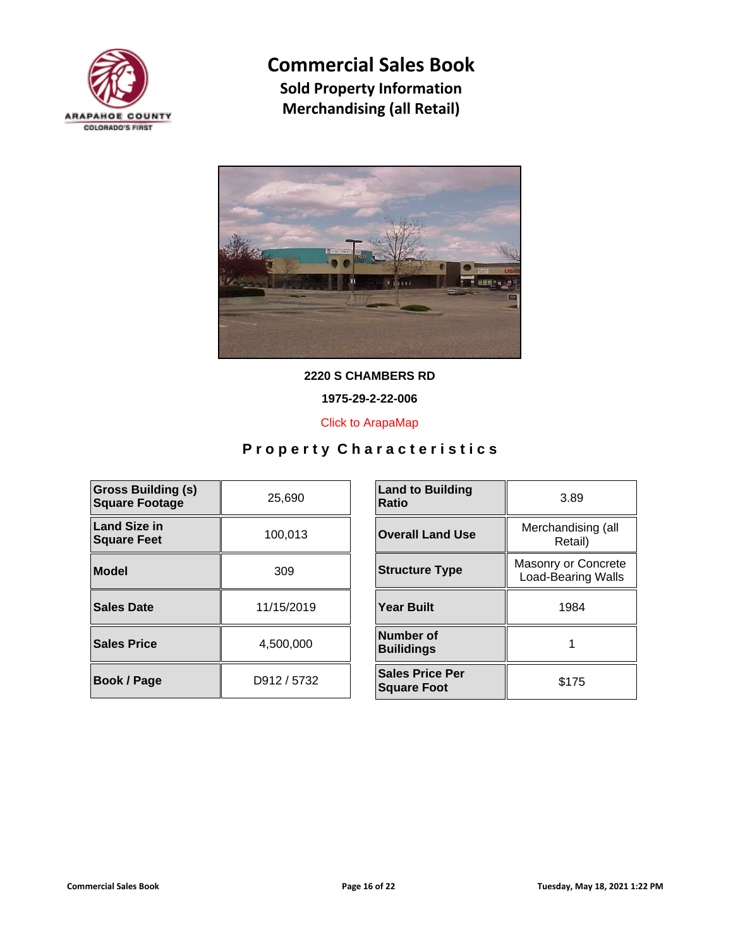



**2220 S CHAMBERS RD**

**1975-29-2-22-006**

[Click to ArapaMap](https://gis.arapahoegov.com/arapamaplite/?PARCEL=1975-29-2-22-006)

| <b>Gross Building (s)</b><br><b>Square Footage</b> | 25,690      | <b>Land to Building</b><br><b>Ratio</b>      |
|----------------------------------------------------|-------------|----------------------------------------------|
| <b>Land Size in</b><br><b>Square Feet</b>          | 100,013     | <b>Overall Land Use</b>                      |
| Model                                              | 309         | <b>Structure Type</b>                        |
| Sales Date                                         | 11/15/2019  | <b>Year Built</b>                            |
| <b>Sales Price</b>                                 | 4.500.000   | Number of<br><b>Builidings</b>               |
| <b>Book / Page</b>                                 | D912 / 5732 | <b>Sales Price Per</b><br><b>Square Foot</b> |

| <b>Land to Building</b><br><b>Ratio</b>      | 3.89                                             |  |
|----------------------------------------------|--------------------------------------------------|--|
| <b>Overall Land Use</b>                      | Merchandising (all<br>Retail)                    |  |
| <b>Structure Type</b>                        | Masonry or Concrete<br><b>Load-Bearing Walls</b> |  |
| <b>Year Built</b>                            | 1984                                             |  |
| Number of<br><b>Builidings</b>               |                                                  |  |
| <b>Sales Price Per</b><br><b>Square Foot</b> | \$175                                            |  |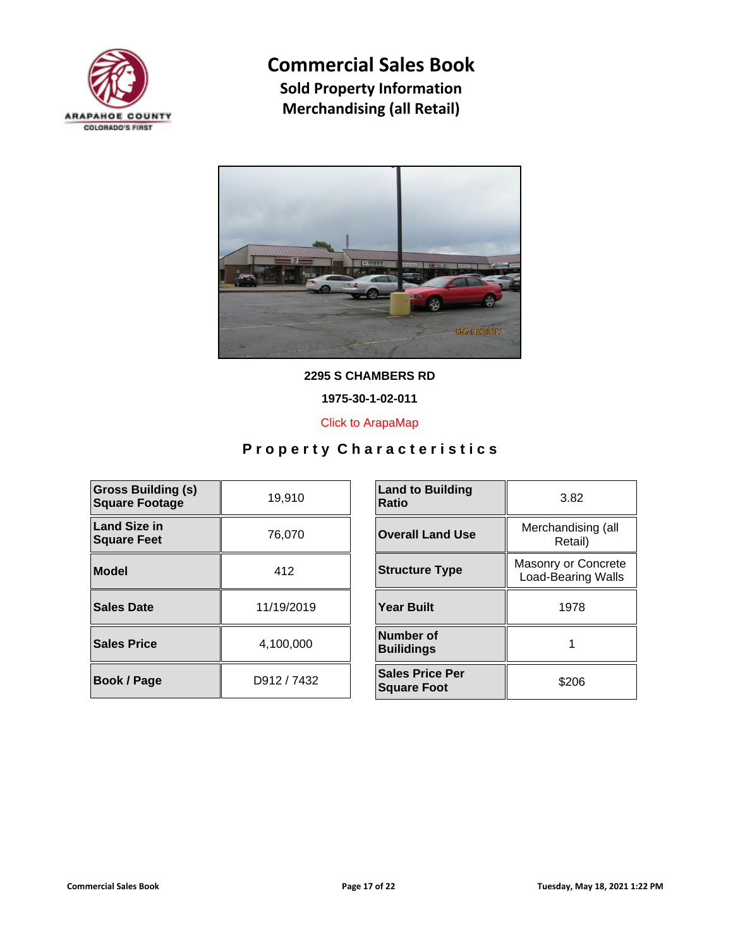



**2295 S CHAMBERS RD**

**1975-30-1-02-011**

[Click to ArapaMap](https://gis.arapahoegov.com/arapamaplite/?PARCEL=1975-30-1-02-011)

| <b>Gross Building (s)</b><br><b>Square Footage</b> | 19,910      | <b>Land to Building</b><br><b>Ratio</b>      |
|----------------------------------------------------|-------------|----------------------------------------------|
| <b>Land Size in</b><br><b>Square Feet</b>          | 76,070      | <b>Overall Land Use</b>                      |
| <b>Model</b>                                       | 412         | <b>Structure Type</b>                        |
| <b>Sales Date</b>                                  | 11/19/2019  | <b>Year Built</b>                            |
| <b>Sales Price</b>                                 | 4,100,000   | <b>Number of</b><br><b>Builidings</b>        |
| <b>Book / Page</b>                                 | D912 / 7432 | <b>Sales Price Per</b><br><b>Square Foot</b> |

| <b>Land to Building</b><br>Ratio                                          | 3.82                          |  |
|---------------------------------------------------------------------------|-------------------------------|--|
| <b>Overall Land Use</b>                                                   | Merchandising (all<br>Retail) |  |
| Masonry or Concrete<br><b>Structure Type</b><br><b>Load-Bearing Walls</b> |                               |  |
| <b>Year Built</b>                                                         | 1978                          |  |
| Number of<br><b>Builidings</b>                                            |                               |  |
| <b>Sales Price Per</b><br><b>Square Foot</b>                              | \$206                         |  |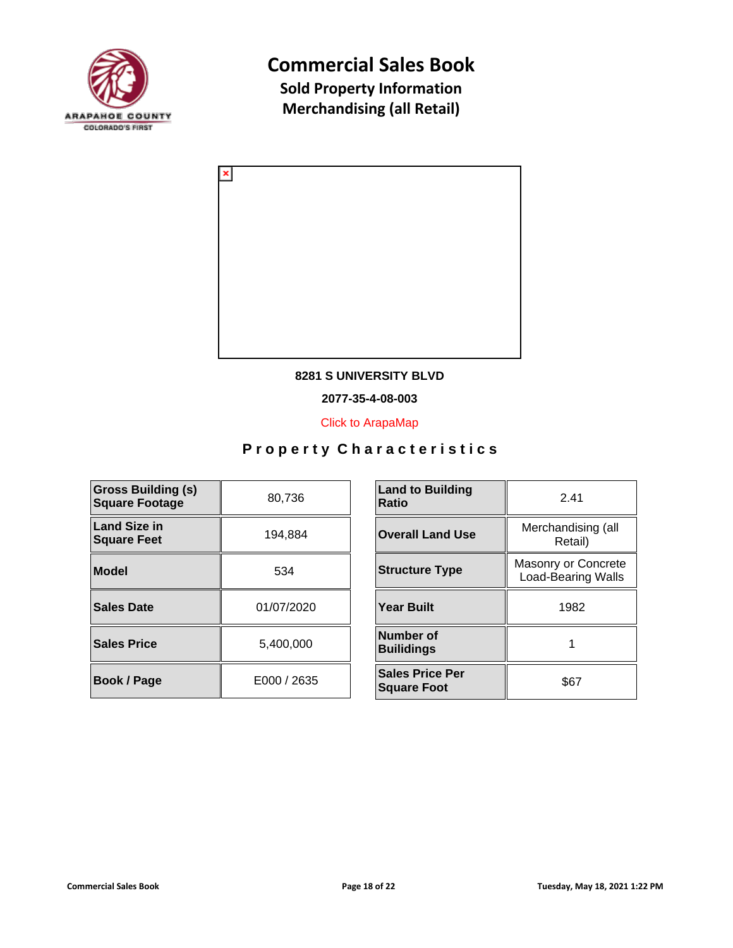



### **8281 S UNIVERSITY BLVD**

**2077-35-4-08-003**

[Click to ArapaMap](https://gis.arapahoegov.com/arapamaplite/?PARCEL=2077-35-4-08-003)

| <b>Gross Building (s)</b><br><b>Square Footage</b> | 80,736      | <b>Land to Building</b><br><b>Ratio</b>      |
|----------------------------------------------------|-------------|----------------------------------------------|
| <b>Land Size in</b><br><b>Square Feet</b>          | 194,884     | <b>Overall Land Use</b>                      |
| <b>Model</b>                                       | 534         | <b>Structure Type</b>                        |
| <b>Sales Date</b>                                  | 01/07/2020  | <b>Year Built</b>                            |
| <b>Sales Price</b>                                 | 5,400,000   | Number of<br><b>Builidings</b>               |
| Book / Page                                        | E000 / 2635 | <b>Sales Price Per</b><br><b>Square Foot</b> |

| <b>Land to Building</b><br>Ratio             | 2.41                                             |  |
|----------------------------------------------|--------------------------------------------------|--|
| <b>Overall Land Use</b>                      | Merchandising (all<br>Retail)                    |  |
| <b>Structure Type</b>                        | Masonry or Concrete<br><b>Load-Bearing Walls</b> |  |
| <b>Year Built</b>                            | 1982                                             |  |
| Number of<br><b>Builidings</b>               |                                                  |  |
| <b>Sales Price Per</b><br><b>Square Foot</b> | \$67                                             |  |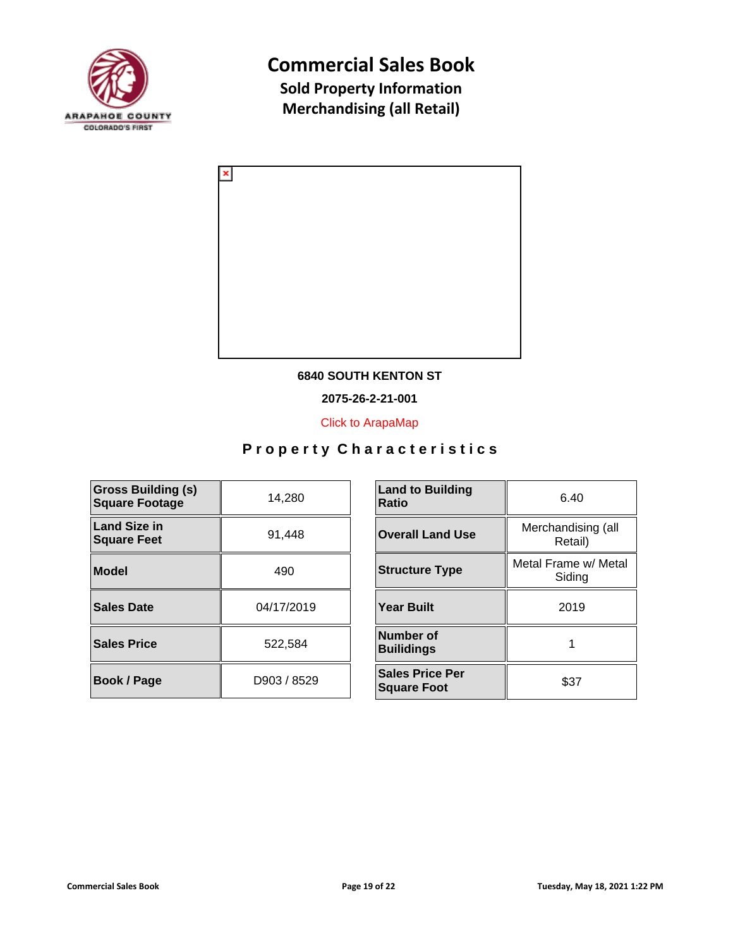



### **6840 SOUTH KENTON ST**

**2075-26-2-21-001**

[Click to ArapaMap](https://gis.arapahoegov.com/arapamaplite/?PARCEL=2075-26-2-21-001)

| <b>Gross Building (s)</b><br><b>Square Footage</b> | 14,280      | <b>Land to Building</b><br><b>Ratio</b>      |
|----------------------------------------------------|-------------|----------------------------------------------|
| <b>Land Size in</b><br><b>Square Feet</b>          | 91,448      | <b>Overall Land Use</b>                      |
| <b>Model</b>                                       | 490         | <b>Structure Type</b>                        |
| <b>Sales Date</b>                                  | 04/17/2019  | <b>Year Built</b>                            |
| <b>Sales Price</b>                                 | 522,584     | Number of<br><b>Builidings</b>               |
| Book / Page                                        | D903 / 8529 | <b>Sales Price Per</b><br><b>Square Foot</b> |

| <b>Land to Building</b><br>Ratio             | 6.40                           |
|----------------------------------------------|--------------------------------|
| <b>Overall Land Use</b>                      | Merchandising (all<br>Retail)  |
| <b>Structure Type</b>                        | Metal Frame w/ Metal<br>Siding |
| <b>Year Built</b>                            | 2019                           |
| <b>Number of</b><br><b>Builidings</b>        |                                |
| <b>Sales Price Per</b><br><b>Square Foot</b> | \$37                           |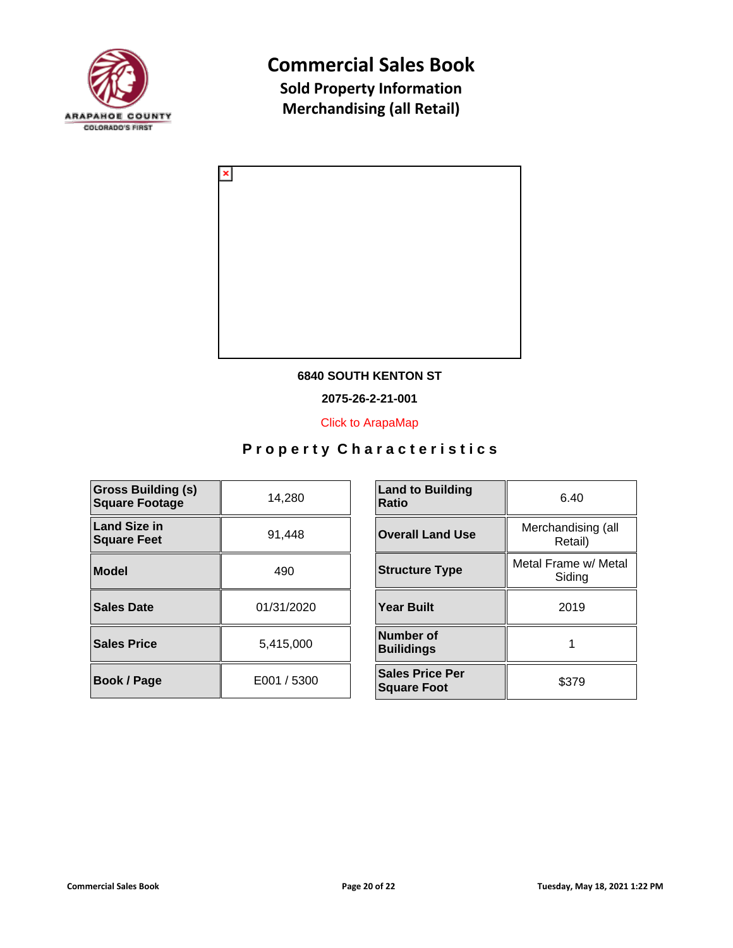



### **6840 SOUTH KENTON ST**

**2075-26-2-21-001**

[Click to ArapaMap](https://gis.arapahoegov.com/arapamaplite/?PARCEL=2075-26-2-21-001)

| <b>Gross Building (s)</b><br><b>Square Footage</b> | 14,280      | <b>Land to Building</b><br><b>Ratio</b>      |
|----------------------------------------------------|-------------|----------------------------------------------|
| <b>Land Size in</b><br><b>Square Feet</b>          | 91,448      | <b>Overall Land Use</b>                      |
| <b>Model</b>                                       | 490         | <b>Structure Type</b>                        |
| <b>Sales Date</b>                                  | 01/31/2020  | <b>Year Built</b>                            |
| <b>Sales Price</b>                                 | 5,415,000   | Number of<br><b>Builidings</b>               |
| Book / Page                                        | E001 / 5300 | <b>Sales Price Per</b><br><b>Square Foot</b> |

| <b>Land to Building</b><br>Ratio             | 6.40                           |
|----------------------------------------------|--------------------------------|
| <b>Overall Land Use</b>                      | Merchandising (all<br>Retail)  |
| <b>Structure Type</b>                        | Metal Frame w/ Metal<br>Siding |
| <b>Year Built</b>                            | 2019                           |
| <b>Number of</b><br><b>Builidings</b>        |                                |
| <b>Sales Price Per</b><br><b>Square Foot</b> | \$379                          |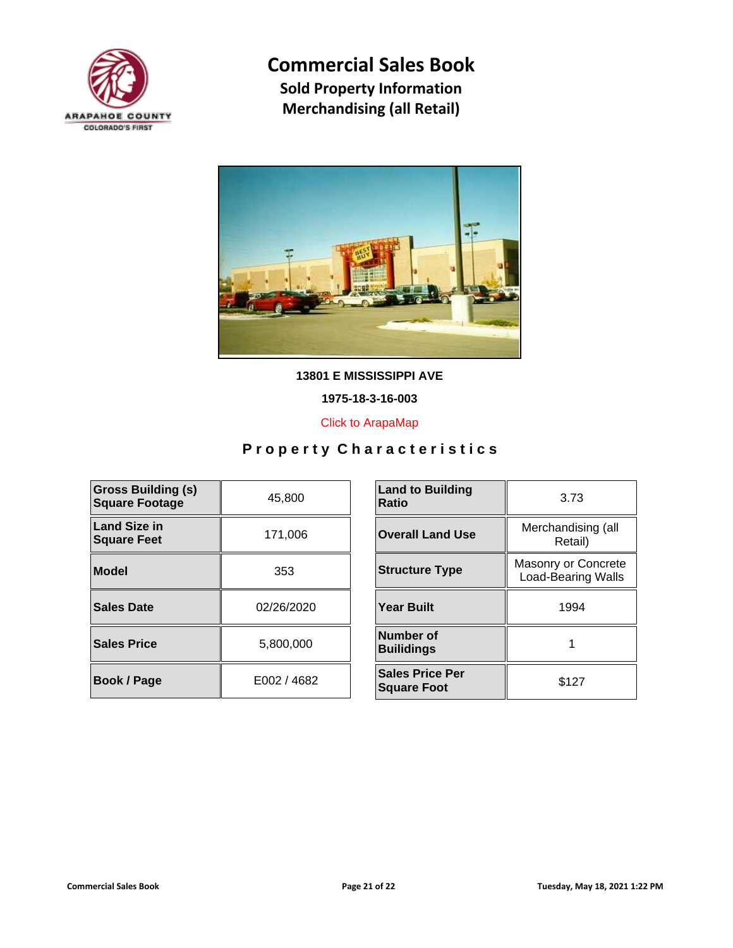



**13801 E MISSISSIPPI AVE**

**1975-18-3-16-003**

[Click to ArapaMap](https://gis.arapahoegov.com/arapamaplite/?PARCEL=1975-18-3-16-003)

| <b>Gross Building (s)</b><br><b>Square Footage</b> | 45,800      | <b>Land to Building</b><br><b>Ratio</b>      |
|----------------------------------------------------|-------------|----------------------------------------------|
| Land Size in<br><b>Square Feet</b>                 | 171,006     | <b>Overall Land Use</b>                      |
| Model                                              | 353         | <b>Structure Type</b>                        |
| Sales Date                                         | 02/26/2020  | <b>Year Built</b>                            |
| <b>Sales Price</b>                                 | 5,800,000   | Number of<br><b>Builidings</b>               |
| <b>Book / Page</b>                                 | E002 / 4682 | <b>Sales Price Per</b><br><b>Square Foot</b> |

| <b>Land to Building</b><br>Ratio             | 3.73                                             |
|----------------------------------------------|--------------------------------------------------|
| <b>Overall Land Use</b>                      | Merchandising (all<br>Retail)                    |
| <b>Structure Type</b>                        | Masonry or Concrete<br><b>Load-Bearing Walls</b> |
| <b>Year Built</b>                            | 1994                                             |
| Number of<br><b>Builidings</b>               |                                                  |
| <b>Sales Price Per</b><br><b>Square Foot</b> | \$127                                            |